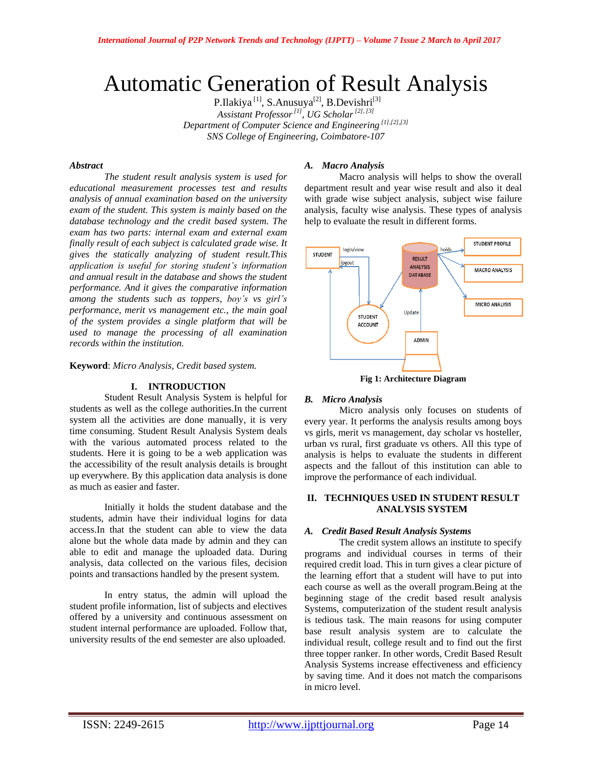# Automatic Generation of Result Analysis

P.Ilakiya<sup>[1]</sup>, S.Anusuya<sup>[2]</sup>, B.Devishri<sup>[3]</sup> *Assistant Professor[1] , UG Scholar[2], [3] Department of Computer Science and Engineering [1],[2],[3] SNS College of Engineering, Coimbatore-107*

## *Abstract*

*The student result analysis system is used for educational measurement processes test and results analysis of annual examination based on the university exam of the student. This system is mainly based on the database technology and the credit based system. The exam has two parts: internal exam and external exam finally result of each subject is calculated grade wise. It gives the statically analyzing of student result.This application is useful for storing student's information and annual result in the database and shows the student performance. And it gives the comparative information among the students such as toppers, boy's vs girl's performance, merit vs management etc., the main goal of the system provides a single platform that will be used to manage the processing of all examination records within the institution.*

**Keyword**: *Micro Analysis, Credit based system.*

## **I. INTRODUCTION**

Student Result Analysis System is helpful for students as well as the college authorities.In the current system all the activities are done manually, it is very time consuming. Student Result Analysis System deals with the various automated process related to the students. Here it is going to be a web application was the accessibility of the result analysis details is brought up everywhere. By this application data analysis is done as much as easier and faster.

Initially it holds the student database and the students, admin have their individual logins for data access.In that the student can able to view the data alone but the whole data made by admin and they can able to edit and manage the uploaded data. During analysis, data collected on the various files, decision points and transactions handled by the present system.

In entry status, the admin will upload the student profile information, list of subjects and electives offered by a university and continuous assessment on student internal performance are uploaded. Follow that, university results of the end semester are also uploaded.

# *A. Macro Analysis*

Macro analysis will helps to show the overall department result and year wise result and also it deal with grade wise subject analysis, subject wise failure analysis, faculty wise analysis. These types of analysis help to evaluate the result in different forms.



**Fig 1: Architecture Diagram**

# *B. Micro Analysis*

Micro analysis only focuses on students of every year. It performs the analysis results among boys vs girls, merit vs management, day scholar vs hosteller, urban vs rural, first graduate vs others. All this type of analysis is helps to evaluate the students in different aspects and the fallout of this institution can able to improve the performance of each individual.

# **II. TECHNIQUES USED IN STUDENT RESULT ANALYSIS SYSTEM**

# *A. Credit Based Result Analysis Systems*

The credit system allows an institute to specify programs and individual courses in terms of their required credit load. This in turn gives a clear picture of the learning effort that a student will have to put into each course as well as the overall program.Being at the beginning stage of the credit based result analysis Systems, computerization of the student result analysis is tedious task. The main reasons for using computer base result analysis system are to calculate the individual result, college result and to find out the first three topper ranker. In other words, Credit Based Result Analysis Systems increase effectiveness and efficiency by saving time. And it does not match the comparisons in micro level.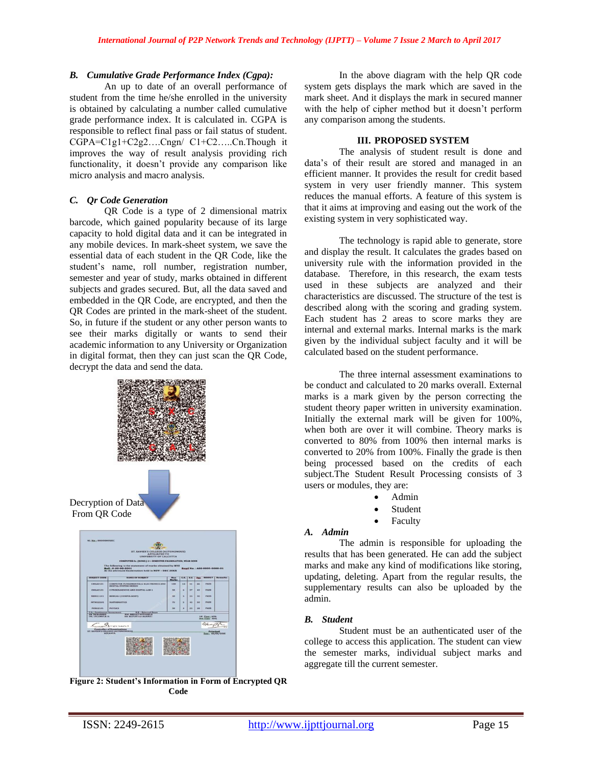# *B. Cumulative Grade Performance Index (Cgpa):*

An up to date of an overall performance of student from the time he/she enrolled in the university is obtained by calculating a number called cumulative grade performance index. It is calculated in. CGPA is responsible to reflect final pass or fail status of student. CGPA=C1g1+C2g2….Cngn/ C1+C2…..Cn.Though it improves the way of result analysis providing rich functionality, it doesn't provide any comparison like micro analysis and macro analysis.

## *C. Qr Code Generation*

QR Code is a type of 2 dimensional matrix barcode, which gained popularity because of its large capacity to hold digital data and it can be integrated in any mobile devices. In mark-sheet system, we save the essential data of each student in the QR Code, like the student"s name, roll number, registration number, semester and year of study, marks obtained in different subjects and grades secured. But, all the data saved and embedded in the QR Code, are encrypted, and then the QR Codes are printed in the mark-sheet of the student. So, in future if the student or any other person wants to see their marks digitally or wants to send their academic information to any University or Organization in digital format, then they can just scan the QR Code, decrypt the data and send the data.



**Figure 2: Student's Information in Form of Encrypted QR Code**

In the above diagram with the help QR code system gets displays the mark which are saved in the mark sheet. And it displays the mark in secured manner with the help of cipher method but it doesn't perform any comparison among the students.

#### **III. PROPOSED SYSTEM**

The analysis of student result is done and data"s of their result are stored and managed in an efficient manner. It provides the result for credit based system in very user friendly manner. This system reduces the manual efforts. A feature of this system is that it aims at improving and easing out the work of the existing system in very sophisticated way.

The technology is rapid able to generate, store and display the result. It calculates the grades based on university rule with the information provided in the database. Therefore, in this research, the exam tests used in these subjects are analyzed and their characteristics are discussed. The structure of the test is described along with the scoring and grading system. Each student has 2 areas to score marks they are internal and external marks. Internal marks is the mark given by the individual subject faculty and it will be calculated based on the student performance.

The three internal assessment examinations to be conduct and calculated to 20 marks overall. External marks is a mark given by the person correcting the student theory paper written in university examination. Initially the external mark will be given for 100%, when both are over it will combine. Theory marks is converted to 80% from 100% then internal marks is converted to 20% from 100%. Finally the grade is then being processed based on the credits of each subject.The Student Result Processing consists of 3 users or modules, they are:

- Admin
- Student
- Faculty

#### *A. Admin*

The admin is responsible for uploading the results that has been generated. He can add the subject marks and make any kind of modifications like storing, updating, deleting. Apart from the regular results, the supplementary results can also be uploaded by the admin.

#### *B. Student*

Student must be an authenticated user of the college to access this application. The student can view the semester marks, individual subject marks and aggregate till the current semester.